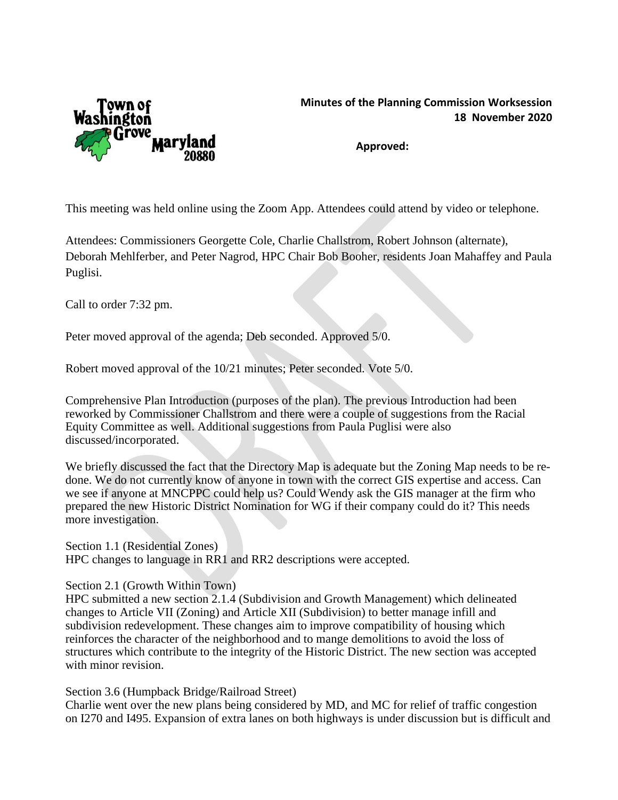

## **Minutes of the Planning Commission Worksession 18 November 2020**

**Approved:**

This meeting was held online using the Zoom App. Attendees could attend by video or telephone.

Attendees: Commissioners Georgette Cole, Charlie Challstrom, Robert Johnson (alternate), Deborah Mehlferber, and Peter Nagrod, HPC Chair Bob Booher, residents Joan Mahaffey and Paula Puglisi.

Call to order 7:32 pm.

Peter moved approval of the agenda; Deb seconded. Approved 5/0.

Robert moved approval of the 10/21 minutes; Peter seconded. Vote 5/0.

Comprehensive Plan Introduction (purposes of the plan). The previous Introduction had been reworked by Commissioner Challstrom and there were a couple of suggestions from the Racial Equity Committee as well. Additional suggestions from Paula Puglisi were also discussed/incorporated.

We briefly discussed the fact that the Directory Map is adequate but the Zoning Map needs to be redone. We do not currently know of anyone in town with the correct GIS expertise and access. Can we see if anyone at MNCPPC could help us? Could Wendy ask the GIS manager at the firm who prepared the new Historic District Nomination for WG if their company could do it? This needs more investigation.

Section 1.1 (Residential Zones) HPC changes to language in RR1 and RR2 descriptions were accepted.

Section 2.1 (Growth Within Town)

HPC submitted a new section 2.1.4 (Subdivision and Growth Management) which delineated changes to Article VII (Zoning) and Article XII (Subdivision) to better manage infill and subdivision redevelopment. These changes aim to improve compatibility of housing which reinforces the character of the neighborhood and to mange demolitions to avoid the loss of structures which contribute to the integrity of the Historic District. The new section was accepted with minor revision.

Section 3.6 (Humpback Bridge/Railroad Street)

Charlie went over the new plans being considered by MD, and MC for relief of traffic congestion on I270 and I495. Expansion of extra lanes on both highways is under discussion but is difficult and